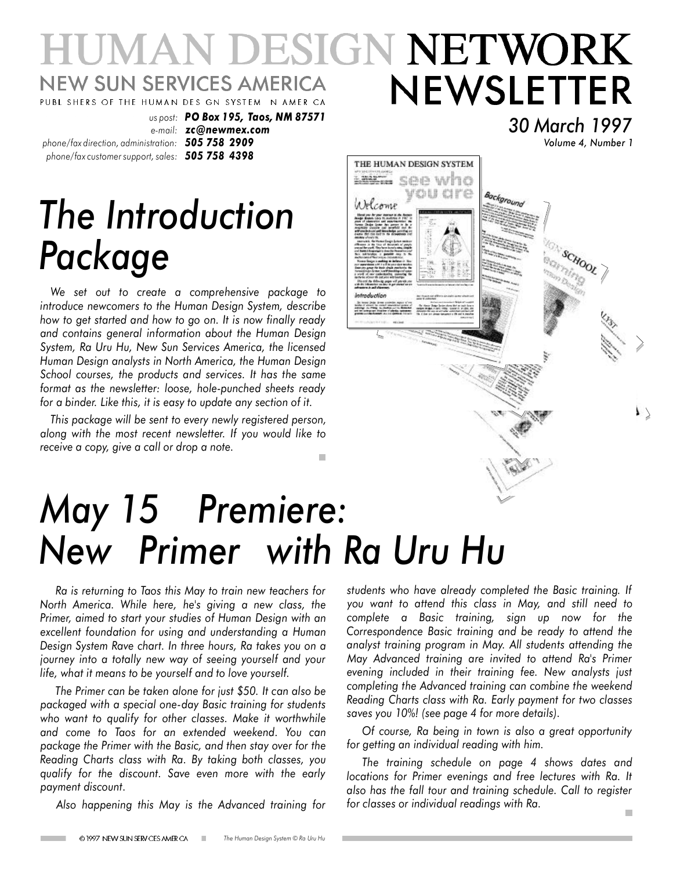## UMAN DESIGN NETWORK **NEW SUN SERVICES AMERICA** NEWSLETTER PUBL SHERS OF THE HUMAN DES GN SYSTEM N AMER CA

THE HUMAN DESIGN SYSTEM  $28222 500$  who

Welcome

vou are

Background

*phone/fax direction, administration: 505 758 2909 phone/fax customer support, sales: 505 758 4398*

*us post: PO Box 195, Taos, NM 87571 e-mail: zc@newmex.com*

# *The Introduction Package*

*We set out to create a comprehensive package to introduce newcomers to the Human Design System, describe how to get started and how to go on. It is now finally ready and contains general information about the Human Design System, Ra Uru Hu, New Sun Services America, the licensed Human Design analysts in North America, the Human Design School courses, the products and services. It has the same format as the newsletter: loose, hole-punched sheets ready for a binder. Like this, it is easy to update any section of it.*

*This package will be sent to every newly registered person, along with the most recent newsletter. If you would like to receive a copy, give a call or drop a note.* ×

## *May 15 Premiere: New Primer with Ra Uru Hu*

*Ra is returning to Taos this May to train new teachers for North America. While here, he's giving a new class, the Primer, aimed to start your studies of Human Design with an excellent foundation for using and understanding a Human Design System Rave chart. In three hours, Ra takes you on a journey into a totally new way of seeing yourself and your life, what it means to be yourself and to love yourself.*

*The Primer can be taken alone for just \$50. It can also be packaged with a special one-day Basic training for students who want to qualify for other classes. Make it worthwhile and come to Taos for an extended weekend. You can package the Primer with the Basic, and then stay over for the Reading Charts class with Ra. By taking both classes, you qualify for the discount. Save even more with the early payment discount.*

*Also happening this May is the Advanced training for*

*students who have already completed the Basic training. If you want to attend this class in May, and still need to complete a Basic training, sign up now for the Correspondence Basic training and be ready to attend the analyst training program in May. All students attending the May Advanced training are invited to attend Ra's Primer evening included in their training fee. New analysts just completing the Advanced training can combine the weekend Reading Charts class with Ra. Early payment for two classes saves you 10%! (see page 4 for more details).*

*30 March 1997*

*Volume 4, Number 1*

SCHOOL

 $\mathsf{L}$ 

*Of course, Ra being in town is also a great opportunity for getting an individual reading with him.*

*The training schedule on page 4 shows dates and locations for Primer evenings and free lectures with Ra. It also has the fall tour and training schedule. Call to register for classes or individual readings with Ra.*

 $\blacksquare$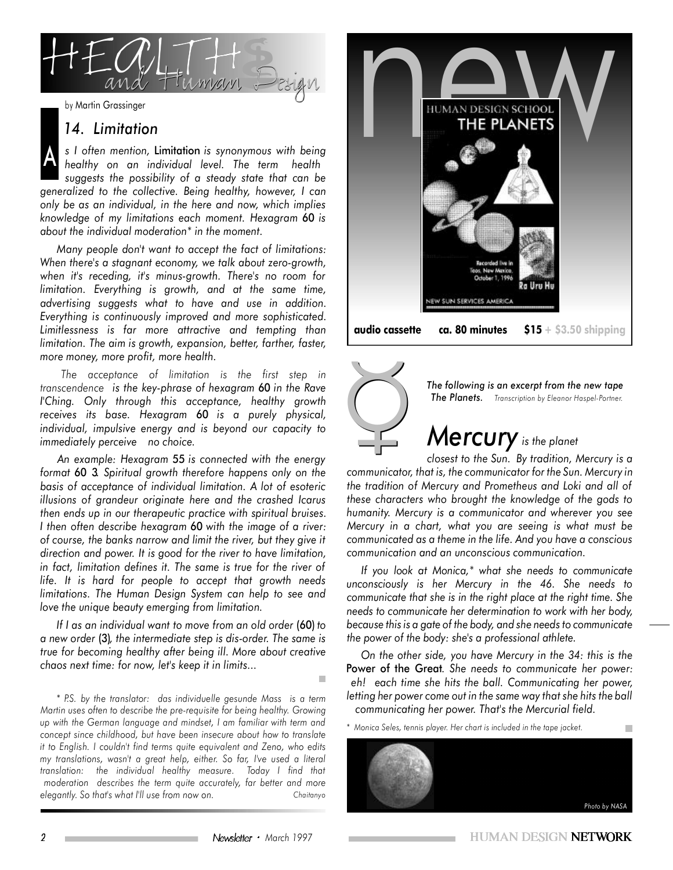

### *14. Limitation*

A *s I often mention,* Limitation *is synonymous with being healthy on an individual level. The term health suggests the possibility of a steady state that can be generalized to the collective. Being healthy, however, I can only be as an individual, in the here and now, which implies knowledge of my limitations each moment. Hexagram* 60 *is about the individual moderation\* in the moment.*

*Many people don't want to accept the fact of limitations: When there's a stagnant economy, we talk about zero-growth, when it's receding, it's minus-growth. There's no room for limitation. Everything is growth, and at the same time, advertising suggests what to have and use in addition. Everything is continuously improved and more sophisticated. Limitlessness is far more attractive and tempting than limitation. The aim is growth, expansion, better, farther, faster, more money, more profit, more health.*

*The acceptance of limitation is the first step in transcendence is the key-phrase of hexagram* 60 *in the Rave I'Ching. Only through this acceptance, healthy growth receives its base. Hexagram* 60 *is a purely physical, individual, impulsive energy and is beyond our capacity to immediately perceive no choice.*

*An example: Hexagram* 55 *is connected with the energy format* 60 3*. Spiritual growth therefore happens only on the basis of acceptance of individual limitation. A lot of esoteric illusions of grandeur originate here and the crashed Icarus then ends up in our therapeutic practice with spiritual bruises. I then often describe hexagram* 60 *with the image of a river: of course, the banks narrow and limit the river, but they give it direction and power. It is good for the river to have limitation, in fact, limitation defines it. The same is true for the river of life. It is hard for people to accept that growth needs limitations. The Human Design System can help to see and love the unique beauty emerging from limitation.*

*If I as an individual want to move from an old order* (60) *to a new order* (3)*, the intermediate step is dis-order. The same is true for becoming healthy after being ill. More about creative chaos next time: for now, let's keep it in limits...*

*Chaitanyo \* P.S. by the translator: das individuelle gesunde Mass is a term Martin uses often to describe the pre-requisite for being healthy. Growing up with the German language and mindset, I am familiar with term and concept since childhood, but have been insecure about how to translate it to English. I couldn't find terms quite equivalent and Zeno, who edits my translations, wasn't a great help, either. So far, I've used a literal translation: the individual healthy measure. Today I find that moderation describes the term quite accurately, far better and more elegantly. So that's what I'll use from now on.*





*The following is an excerpt from the new tape The Planets. Transcription by Eleanor Haspel-Portner.*

## 6 *Mercury is the planet*

*closest to the Sun. By tradition, Mercury is a communicator, that is, the communicator for the Sun. Mercury in the tradition of Mercury and Prometheus and Loki and all of these characters who brought the knowledge of the gods to humanity. Mercury is a communicator and wherever you see Mercury in a chart, what you are seeing is what must be communicated as a theme in the life. And you have a conscious communication and an unconscious communication.*

*If you look at Monica,\* what she needs to communicate unconsciously is her Mercury in the 46. She needs to communicate that she is in the right place at the right time. She needs to communicate her determination to work with her body, because this is a gate of the body, and she needs to communicate the power of the body: she's a professional athlete.*

*On the other side, you have Mercury in the 34: this is the* Power of the Great*. She needs to communicate her power: eh! each time she hits the ball. Communicating her power, letting her power come out in the same way that she hits the ball communicating her power. That's the Mercurial field.*

*\* Monica Seles, tennis player. Her chart is included in the tape jacket.*

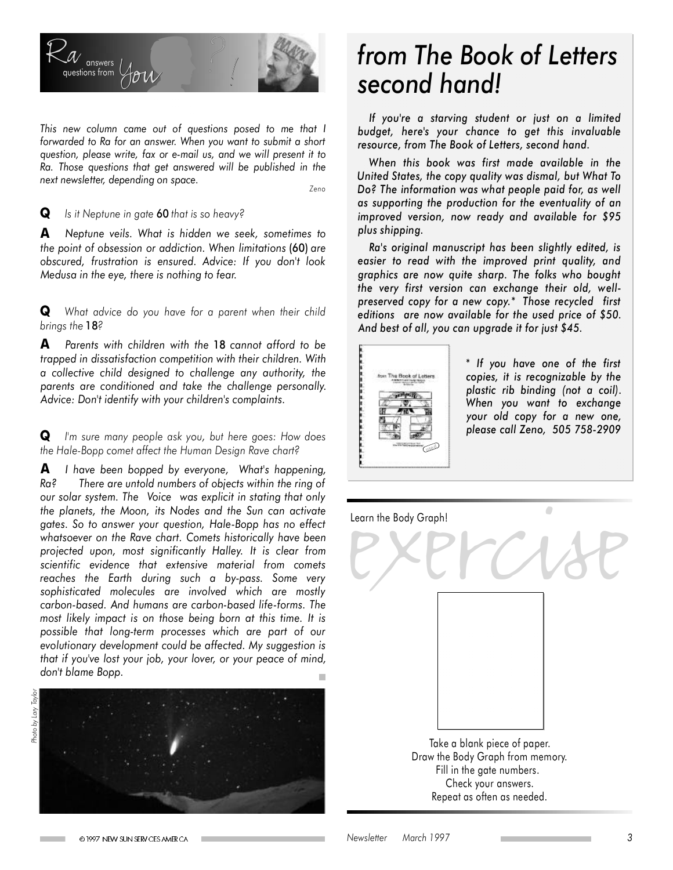

*This new column came out of questions posed to me that I forwarded to Ra for an answer. When you want to submit a short question, please write, fax or e-mail us, and we will present it to Ra. Those questions that get answered will be published in the next newsletter, depending on space.*

*Zeno*

**Q** *Is it Neptune in gate* 60 *that is so heavy?*

**A** *Neptune veils. What is hidden we seek, sometimes to the point of obsession or addiction. When limitations* (60) *are obscured, frustration is ensured. Advice: If you don't look Medusa in the eye, there is nothing to fear.*

**Q** *What advice do you have for a parent when their child brings the* 18*?*

**A** *Parents with children with the* 18 *cannot afford to be trapped in dissatisfaction competition with their children. With a collective child designed to challenge any authority, the parents are conditioned and take the challenge personally. Advice: Don't identify with your children's complaints.*

**Q** *I'm sure many people ask you, but here goes: How does the Hale-Bopp comet affect the Human Design Rave chart?*

**A** *I have been bopped by everyone, What's happening, Ra? There are untold numbers of objects within the ring of our solar system. The Voice was explicit in stating that only the planets, the Moon, its Nodes and the Sun can activate gates. So to answer your question, Hale-Bopp has no effect whatsoever on the Rave chart. Comets historically have been projected upon, most significantly Halley. It is clear from scientific evidence that extensive material from comets reaches the Earth during such a by-pass. Some very sophisticated molecules are involved which are mostly carbon-based. And humans are carbon-based life-forms. The most likely impact is on those being born at this time. It is possible that long-term processes which are part of our evolutionary development could be affected. My suggestion is that if you've lost your job, your lover, or your peace of mind, don't blame Bopp.*



## *from The Book of Letters second hand!*

*If you're a starving student or just on a limited budget, here's your chance to get this invaluable resource, from The Book of Letters, second hand.*

*When this book was first made available in the United States, the copy quality was dismal, but What To Do? The information was what people paid for, as well as supporting the production for the eventuality of an improved version, now ready and available for \$95 plus shipping.*

*Ra's original manuscript has been slightly edited, is easier to read with the improved print quality, and graphics are now quite sharp. The folks who bought the very first version can exchange their old, wellpreserved copy for a new copy.\* Those recycled first editions are now available for the used price of \$50. And best of all, you can upgrade it for just \$45.*



*\* If you have one of the first copies, it is recognizable by the plastic rib binding (not a coil). When you want to exchange your old copy for a new one, please call Zeno, 505 758-2909*

Learn the Body Graph!